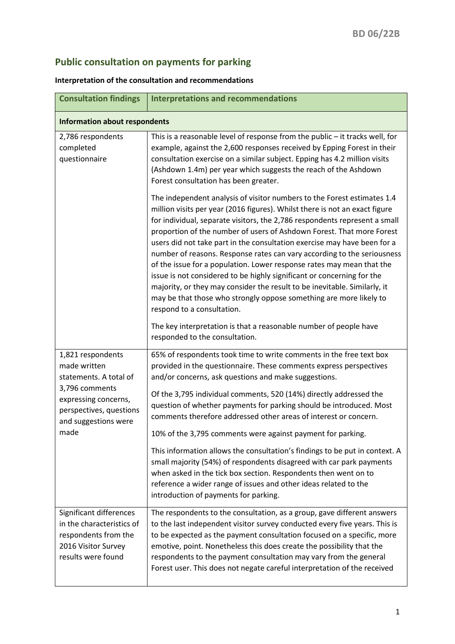## **Public consultation on payments for parking**

## **Interpretation of the consultation and recommendations**

| <b>Consultation findings</b>                                                                                                                                     | <b>Interpretations and recommendations</b>                                                                                                                                                                                                                                                                                                                                                                                                                                                                                                                                                                                                                                                                                                                                                                                                                                    |
|------------------------------------------------------------------------------------------------------------------------------------------------------------------|-------------------------------------------------------------------------------------------------------------------------------------------------------------------------------------------------------------------------------------------------------------------------------------------------------------------------------------------------------------------------------------------------------------------------------------------------------------------------------------------------------------------------------------------------------------------------------------------------------------------------------------------------------------------------------------------------------------------------------------------------------------------------------------------------------------------------------------------------------------------------------|
| <b>Information about respondents</b>                                                                                                                             |                                                                                                                                                                                                                                                                                                                                                                                                                                                                                                                                                                                                                                                                                                                                                                                                                                                                               |
| 2,786 respondents<br>completed<br>questionnaire                                                                                                                  | This is a reasonable level of response from the public $-$ it tracks well, for<br>example, against the 2,600 responses received by Epping Forest in their<br>consultation exercise on a similar subject. Epping has 4.2 million visits<br>(Ashdown 1.4m) per year which suggests the reach of the Ashdown<br>Forest consultation has been greater.                                                                                                                                                                                                                                                                                                                                                                                                                                                                                                                            |
|                                                                                                                                                                  | The independent analysis of visitor numbers to the Forest estimates 1.4<br>million visits per year (2016 figures). Whilst there is not an exact figure<br>for individual, separate visitors, the 2,786 respondents represent a small<br>proportion of the number of users of Ashdown Forest. That more Forest<br>users did not take part in the consultation exercise may have been for a<br>number of reasons. Response rates can vary according to the seriousness<br>of the issue for a population. Lower response rates may mean that the<br>issue is not considered to be highly significant or concerning for the<br>majority, or they may consider the result to be inevitable. Similarly, it<br>may be that those who strongly oppose something are more likely to<br>respond to a consultation.<br>The key interpretation is that a reasonable number of people have |
|                                                                                                                                                                  | responded to the consultation.                                                                                                                                                                                                                                                                                                                                                                                                                                                                                                                                                                                                                                                                                                                                                                                                                                                |
| 1,821 respondents<br>made written<br>statements. A total of<br>3,796 comments<br>expressing concerns,<br>perspectives, questions<br>and suggestions were<br>made | 65% of respondents took time to write comments in the free text box<br>provided in the questionnaire. These comments express perspectives<br>and/or concerns, ask questions and make suggestions.<br>Of the 3,795 individual comments, 520 (14%) directly addressed the<br>question of whether payments for parking should be introduced. Most<br>comments therefore addressed other areas of interest or concern.<br>10% of the 3,795 comments were against payment for parking.<br>This information allows the consultation's findings to be put in context. A<br>small majority (54%) of respondents disagreed with car park payments<br>when asked in the tick box section. Respondents then went on to<br>reference a wider range of issues and other ideas related to the<br>introduction of payments for parking.                                                      |
| Significant differences<br>in the characteristics of<br>respondents from the<br>2016 Visitor Survey<br>results were found                                        | The respondents to the consultation, as a group, gave different answers<br>to the last independent visitor survey conducted every five years. This is<br>to be expected as the payment consultation focused on a specific, more<br>emotive, point. Nonetheless this does create the possibility that the<br>respondents to the payment consultation may vary from the general<br>Forest user. This does not negate careful interpretation of the received                                                                                                                                                                                                                                                                                                                                                                                                                     |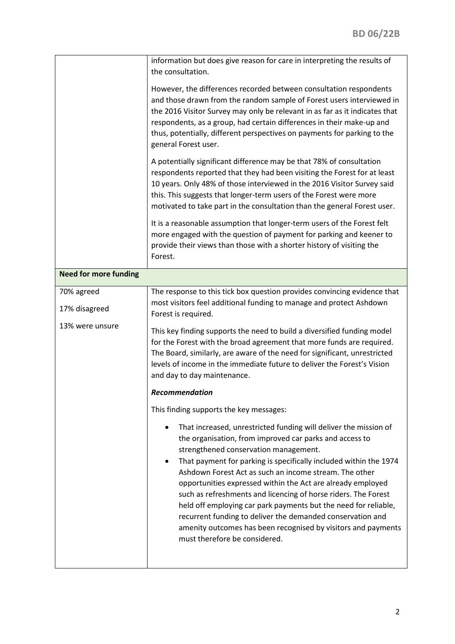|                              | information but does give reason for care in interpreting the results of<br>the consultation.<br>However, the differences recorded between consultation respondents<br>and those drawn from the random sample of Forest users interviewed in<br>the 2016 Visitor Survey may only be relevant in as far as it indicates that<br>respondents, as a group, had certain differences in their make-up and<br>thus, potentially, different perspectives on payments for parking to the<br>general Forest user.<br>A potentially significant difference may be that 78% of consultation<br>respondents reported that they had been visiting the Forest for at least<br>10 years. Only 48% of those interviewed in the 2016 Visitor Survey said<br>this. This suggests that longer-term users of the Forest were more<br>motivated to take part in the consultation than the general Forest user.<br>It is a reasonable assumption that longer-term users of the Forest felt<br>more engaged with the question of payment for parking and keener to<br>provide their views than those with a shorter history of visiting the |
|------------------------------|----------------------------------------------------------------------------------------------------------------------------------------------------------------------------------------------------------------------------------------------------------------------------------------------------------------------------------------------------------------------------------------------------------------------------------------------------------------------------------------------------------------------------------------------------------------------------------------------------------------------------------------------------------------------------------------------------------------------------------------------------------------------------------------------------------------------------------------------------------------------------------------------------------------------------------------------------------------------------------------------------------------------------------------------------------------------------------------------------------------------|
|                              | Forest.                                                                                                                                                                                                                                                                                                                                                                                                                                                                                                                                                                                                                                                                                                                                                                                                                                                                                                                                                                                                                                                                                                              |
| <b>Need for more funding</b> |                                                                                                                                                                                                                                                                                                                                                                                                                                                                                                                                                                                                                                                                                                                                                                                                                                                                                                                                                                                                                                                                                                                      |
| 70% agreed<br>17% disagreed  | The response to this tick box question provides convincing evidence that<br>most visitors feel additional funding to manage and protect Ashdown<br>Forest is required.                                                                                                                                                                                                                                                                                                                                                                                                                                                                                                                                                                                                                                                                                                                                                                                                                                                                                                                                               |
| 13% were unsure              | This key finding supports the need to build a diversified funding model<br>for the Forest with the broad agreement that more funds are required.<br>The Board, similarly, are aware of the need for significant, unrestricted<br>levels of income in the immediate future to deliver the Forest's Vision<br>and day to day maintenance.                                                                                                                                                                                                                                                                                                                                                                                                                                                                                                                                                                                                                                                                                                                                                                              |
|                              | <b>Recommendation</b>                                                                                                                                                                                                                                                                                                                                                                                                                                                                                                                                                                                                                                                                                                                                                                                                                                                                                                                                                                                                                                                                                                |
|                              | This finding supports the key messages:                                                                                                                                                                                                                                                                                                                                                                                                                                                                                                                                                                                                                                                                                                                                                                                                                                                                                                                                                                                                                                                                              |
|                              | That increased, unrestricted funding will deliver the mission of<br>the organisation, from improved car parks and access to<br>strengthened conservation management.<br>That payment for parking is specifically included within the 1974<br>٠<br>Ashdown Forest Act as such an income stream. The other<br>opportunities expressed within the Act are already employed<br>such as refreshments and licencing of horse riders. The Forest<br>held off employing car park payments but the need for reliable,<br>recurrent funding to deliver the demanded conservation and<br>amenity outcomes has been recognised by visitors and payments<br>must therefore be considered.                                                                                                                                                                                                                                                                                                                                                                                                                                         |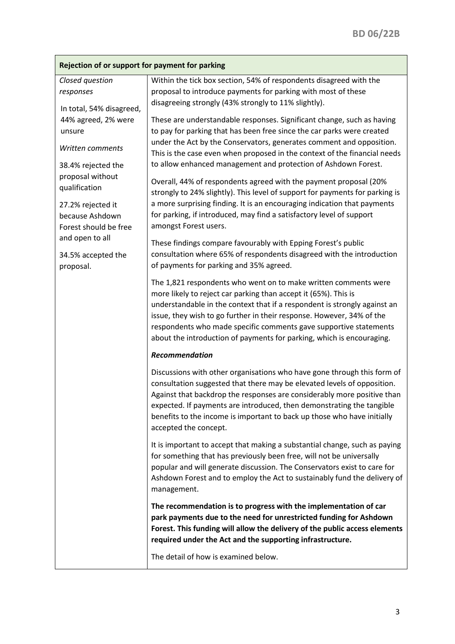| Rejection of or support for payment for parking                                           |                                                                                                                                                                                                                                                                                                                                                                                                                                        |
|-------------------------------------------------------------------------------------------|----------------------------------------------------------------------------------------------------------------------------------------------------------------------------------------------------------------------------------------------------------------------------------------------------------------------------------------------------------------------------------------------------------------------------------------|
| Closed question<br>responses<br>In total, 54% disagreed,<br>44% agreed, 2% were<br>unsure | Within the tick box section, 54% of respondents disagreed with the<br>proposal to introduce payments for parking with most of these<br>disagreeing strongly (43% strongly to 11% slightly).                                                                                                                                                                                                                                            |
|                                                                                           | These are understandable responses. Significant change, such as having<br>to pay for parking that has been free since the car parks were created<br>under the Act by the Conservators, generates comment and opposition.                                                                                                                                                                                                               |
| Written comments<br>38.4% rejected the                                                    | This is the case even when proposed in the context of the financial needs<br>to allow enhanced management and protection of Ashdown Forest.                                                                                                                                                                                                                                                                                            |
| proposal without<br>qualification                                                         | Overall, 44% of respondents agreed with the payment proposal (20%<br>strongly to 24% slightly). This level of support for payments for parking is<br>a more surprising finding. It is an encouraging indication that payments                                                                                                                                                                                                          |
| 27.2% rejected it<br>because Ashdown<br>Forest should be free                             | for parking, if introduced, may find a satisfactory level of support<br>amongst Forest users.                                                                                                                                                                                                                                                                                                                                          |
| and open to all<br>34.5% accepted the<br>proposal.                                        | These findings compare favourably with Epping Forest's public<br>consultation where 65% of respondents disagreed with the introduction<br>of payments for parking and 35% agreed.                                                                                                                                                                                                                                                      |
|                                                                                           | The 1,821 respondents who went on to make written comments were<br>more likely to reject car parking than accept it (65%). This is<br>understandable in the context that if a respondent is strongly against an<br>issue, they wish to go further in their response. However, 34% of the<br>respondents who made specific comments gave supportive statements<br>about the introduction of payments for parking, which is encouraging. |
|                                                                                           | Recommendation                                                                                                                                                                                                                                                                                                                                                                                                                         |
|                                                                                           | Discussions with other organisations who have gone through this form of<br>consultation suggested that there may be elevated levels of opposition.<br>Against that backdrop the responses are considerably more positive than<br>expected. If payments are introduced, then demonstrating the tangible<br>benefits to the income is important to back up those who have initially<br>accepted the concept.                             |
|                                                                                           | It is important to accept that making a substantial change, such as paying<br>for something that has previously been free, will not be universally<br>popular and will generate discussion. The Conservators exist to care for<br>Ashdown Forest and to employ the Act to sustainably fund the delivery of<br>management.                                                                                                              |
|                                                                                           | The recommendation is to progress with the implementation of car<br>park payments due to the need for unrestricted funding for Ashdown<br>Forest. This funding will allow the delivery of the public access elements<br>required under the Act and the supporting infrastructure.                                                                                                                                                      |
|                                                                                           | The detail of how is examined below.                                                                                                                                                                                                                                                                                                                                                                                                   |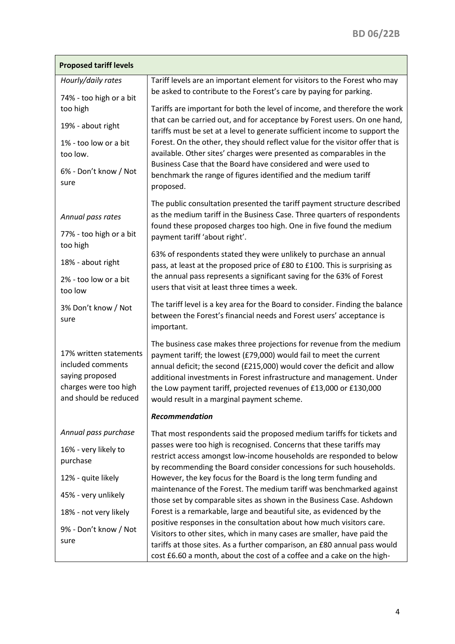| <b>Proposed tariff levels</b>                                                                                    |                                                                                                                                                                                                                                                                                                                                                                                                                     |
|------------------------------------------------------------------------------------------------------------------|---------------------------------------------------------------------------------------------------------------------------------------------------------------------------------------------------------------------------------------------------------------------------------------------------------------------------------------------------------------------------------------------------------------------|
| Hourly/daily rates<br>74% - too high or a bit                                                                    | Tariff levels are an important element for visitors to the Forest who may<br>be asked to contribute to the Forest's care by paying for parking.                                                                                                                                                                                                                                                                     |
| too high                                                                                                         | Tariffs are important for both the level of income, and therefore the work                                                                                                                                                                                                                                                                                                                                          |
| 19% - about right                                                                                                | that can be carried out, and for acceptance by Forest users. On one hand,<br>tariffs must be set at a level to generate sufficient income to support the                                                                                                                                                                                                                                                            |
| 1% - too low or a bit<br>too low.                                                                                | Forest. On the other, they should reflect value for the visitor offer that is<br>available. Other sites' charges were presented as comparables in the                                                                                                                                                                                                                                                               |
| 6% - Don't know / Not<br>sure                                                                                    | Business Case that the Board have considered and were used to<br>benchmark the range of figures identified and the medium tariff<br>proposed.                                                                                                                                                                                                                                                                       |
| Annual pass rates<br>77% - too high or a bit<br>too high                                                         | The public consultation presented the tariff payment structure described<br>as the medium tariff in the Business Case. Three quarters of respondents<br>found these proposed charges too high. One in five found the medium<br>payment tariff 'about right'.                                                                                                                                                        |
| 18% - about right                                                                                                | 63% of respondents stated they were unlikely to purchase an annual<br>pass, at least at the proposed price of £80 to £100. This is surprising as                                                                                                                                                                                                                                                                    |
| 2% - too low or a bit<br>too low                                                                                 | the annual pass represents a significant saving for the 63% of Forest<br>users that visit at least three times a week.                                                                                                                                                                                                                                                                                              |
| 3% Don't know / Not<br>sure                                                                                      | The tariff level is a key area for the Board to consider. Finding the balance<br>between the Forest's financial needs and Forest users' acceptance is<br>important.                                                                                                                                                                                                                                                 |
| 17% written statements<br>included comments<br>saying proposed<br>charges were too high<br>and should be reduced | The business case makes three projections for revenue from the medium<br>payment tariff; the lowest (£79,000) would fail to meet the current<br>annual deficit; the second (£215,000) would cover the deficit and allow<br>additional investments in Forest infrastructure and management. Under<br>the Low payment tariff, projected revenues of £13,000 or £130,000<br>would result in a marginal payment scheme. |
|                                                                                                                  | Recommendation                                                                                                                                                                                                                                                                                                                                                                                                      |
| Annual pass purchase                                                                                             | That most respondents said the proposed medium tariffs for tickets and                                                                                                                                                                                                                                                                                                                                              |
| 16% - very likely to<br>purchase                                                                                 | passes were too high is recognised. Concerns that these tariffs may<br>restrict access amongst low-income households are responded to below<br>by recommending the Board consider concessions for such households.                                                                                                                                                                                                  |
| 12% - quite likely                                                                                               | However, the key focus for the Board is the long term funding and                                                                                                                                                                                                                                                                                                                                                   |
| 45% - very unlikely                                                                                              | maintenance of the Forest. The medium tariff was benchmarked against<br>those set by comparable sites as shown in the Business Case. Ashdown                                                                                                                                                                                                                                                                        |
| 18% - not very likely                                                                                            | Forest is a remarkable, large and beautiful site, as evidenced by the                                                                                                                                                                                                                                                                                                                                               |
| 9% - Don't know / Not<br>sure                                                                                    | positive responses in the consultation about how much visitors care.<br>Visitors to other sites, which in many cases are smaller, have paid the<br>tariffs at those sites. As a further comparison, an £80 annual pass would<br>cost £6.60 a month, about the cost of a coffee and a cake on the high-                                                                                                              |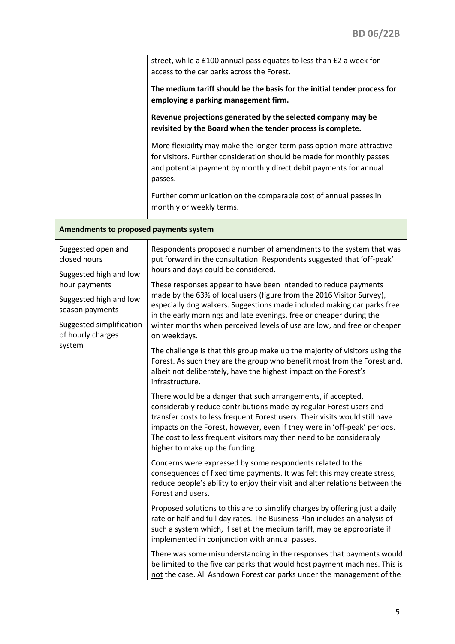|                                                                                                                                                                                       | street, while a £100 annual pass equates to less than £2 a week for<br>access to the car parks across the Forest.<br>The medium tariff should be the basis for the initial tender process for<br>employing a parking management firm.<br>Revenue projections generated by the selected company may be<br>revisited by the Board when the tender process is complete.<br>More flexibility may make the longer-term pass option more attractive<br>for visitors. Further consideration should be made for monthly passes<br>and potential payment by monthly direct debit payments for annual<br>passes.<br>Further communication on the comparable cost of annual passes in<br>monthly or weekly terms.                                                                                                                                                                                                                                                                                                                                                                                                                                                                                                                                                                                                                                                                                                                                                                                                                                                                                                                                                                                                                                                                                                                                                                                                                                                                                                            |
|---------------------------------------------------------------------------------------------------------------------------------------------------------------------------------------|-------------------------------------------------------------------------------------------------------------------------------------------------------------------------------------------------------------------------------------------------------------------------------------------------------------------------------------------------------------------------------------------------------------------------------------------------------------------------------------------------------------------------------------------------------------------------------------------------------------------------------------------------------------------------------------------------------------------------------------------------------------------------------------------------------------------------------------------------------------------------------------------------------------------------------------------------------------------------------------------------------------------------------------------------------------------------------------------------------------------------------------------------------------------------------------------------------------------------------------------------------------------------------------------------------------------------------------------------------------------------------------------------------------------------------------------------------------------------------------------------------------------------------------------------------------------------------------------------------------------------------------------------------------------------------------------------------------------------------------------------------------------------------------------------------------------------------------------------------------------------------------------------------------------------------------------------------------------------------------------------------------------|
| Amendments to proposed payments system                                                                                                                                                |                                                                                                                                                                                                                                                                                                                                                                                                                                                                                                                                                                                                                                                                                                                                                                                                                                                                                                                                                                                                                                                                                                                                                                                                                                                                                                                                                                                                                                                                                                                                                                                                                                                                                                                                                                                                                                                                                                                                                                                                                   |
| Suggested open and<br>closed hours<br>Suggested high and low<br>hour payments<br>Suggested high and low<br>season payments<br>Suggested simplification<br>of hourly charges<br>system | Respondents proposed a number of amendments to the system that was<br>put forward in the consultation. Respondents suggested that 'off-peak'<br>hours and days could be considered.<br>These responses appear to have been intended to reduce payments<br>made by the 63% of local users (figure from the 2016 Visitor Survey),<br>especially dog walkers. Suggestions made included making car parks free<br>in the early mornings and late evenings, free or cheaper during the<br>winter months when perceived levels of use are low, and free or cheaper<br>on weekdays.<br>The challenge is that this group make up the majority of visitors using the<br>Forest. As such they are the group who benefit most from the Forest and,<br>albeit not deliberately, have the highest impact on the Forest's<br>infrastructure.<br>There would be a danger that such arrangements, if accepted,<br>considerably reduce contributions made by regular Forest users and<br>transfer costs to less frequent Forest users. Their visits would still have<br>impacts on the Forest, however, even if they were in 'off-peak' periods.<br>The cost to less frequent visitors may then need to be considerably<br>higher to make up the funding.<br>Concerns were expressed by some respondents related to the<br>consequences of fixed time payments. It was felt this may create stress,<br>reduce people's ability to enjoy their visit and alter relations between the<br>Forest and users.<br>Proposed solutions to this are to simplify charges by offering just a daily<br>rate or half and full day rates. The Business Plan includes an analysis of<br>such a system which, if set at the medium tariff, may be appropriate if<br>implemented in conjunction with annual passes.<br>There was some misunderstanding in the responses that payments would<br>be limited to the five car parks that would host payment machines. This is<br>not the case. All Ashdown Forest car parks under the management of the |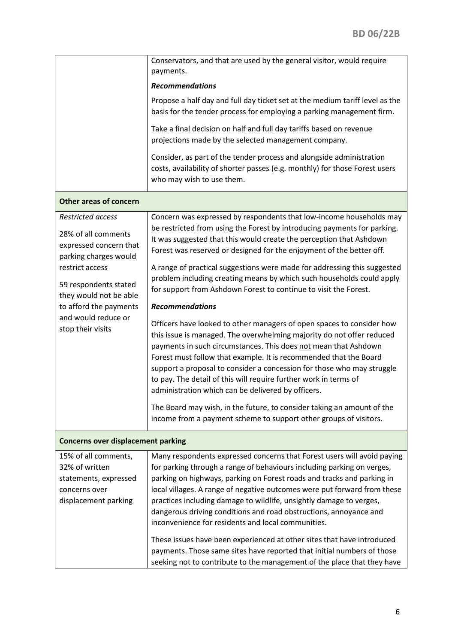|                                                                                                          | Conservators, and that are used by the general visitor, would require<br>payments.                                                                                                                                                                                                                                                                                                                                                                                                                                                                                                  |
|----------------------------------------------------------------------------------------------------------|-------------------------------------------------------------------------------------------------------------------------------------------------------------------------------------------------------------------------------------------------------------------------------------------------------------------------------------------------------------------------------------------------------------------------------------------------------------------------------------------------------------------------------------------------------------------------------------|
|                                                                                                          | <b>Recommendations</b>                                                                                                                                                                                                                                                                                                                                                                                                                                                                                                                                                              |
|                                                                                                          | Propose a half day and full day ticket set at the medium tariff level as the<br>basis for the tender process for employing a parking management firm.                                                                                                                                                                                                                                                                                                                                                                                                                               |
|                                                                                                          | Take a final decision on half and full day tariffs based on revenue<br>projections made by the selected management company.                                                                                                                                                                                                                                                                                                                                                                                                                                                         |
|                                                                                                          | Consider, as part of the tender process and alongside administration<br>costs, availability of shorter passes (e.g. monthly) for those Forest users<br>who may wish to use them.                                                                                                                                                                                                                                                                                                                                                                                                    |
| <b>Other areas of concern</b>                                                                            |                                                                                                                                                                                                                                                                                                                                                                                                                                                                                                                                                                                     |
| Restricted access<br>28% of all comments<br>expressed concern that<br>parking charges would              | Concern was expressed by respondents that low-income households may<br>be restricted from using the Forest by introducing payments for parking.<br>It was suggested that this would create the perception that Ashdown<br>Forest was reserved or designed for the enjoyment of the better off.                                                                                                                                                                                                                                                                                      |
| restrict access<br>59 respondents stated<br>they would not be able                                       | A range of practical suggestions were made for addressing this suggested<br>problem including creating means by which such households could apply<br>for support from Ashdown Forest to continue to visit the Forest.                                                                                                                                                                                                                                                                                                                                                               |
| to afford the payments                                                                                   | <b>Recommendations</b>                                                                                                                                                                                                                                                                                                                                                                                                                                                                                                                                                              |
| and would reduce or<br>stop their visits                                                                 | Officers have looked to other managers of open spaces to consider how<br>this issue is managed. The overwhelming majority do not offer reduced<br>payments in such circumstances. This does not mean that Ashdown<br>Forest must follow that example. It is recommended that the Board<br>support a proposal to consider a concession for those who may struggle<br>to pay. The detail of this will require further work in terms of<br>administration which can be delivered by officers.                                                                                          |
|                                                                                                          | The Board may wish, in the future, to consider taking an amount of the<br>income from a payment scheme to support other groups of visitors.                                                                                                                                                                                                                                                                                                                                                                                                                                         |
| <b>Concerns over displacement parking</b>                                                                |                                                                                                                                                                                                                                                                                                                                                                                                                                                                                                                                                                                     |
| 15% of all comments,<br>32% of written<br>statements, expressed<br>concerns over<br>displacement parking | Many respondents expressed concerns that Forest users will avoid paying<br>for parking through a range of behaviours including parking on verges,<br>parking on highways, parking on Forest roads and tracks and parking in<br>local villages. A range of negative outcomes were put forward from these<br>practices including damage to wildlife, unsightly damage to verges,<br>dangerous driving conditions and road obstructions, annoyance and<br>inconvenience for residents and local communities.<br>These issues have been experienced at other sites that have introduced |
|                                                                                                          | payments. Those same sites have reported that initial numbers of those<br>seeking not to contribute to the management of the place that they have                                                                                                                                                                                                                                                                                                                                                                                                                                   |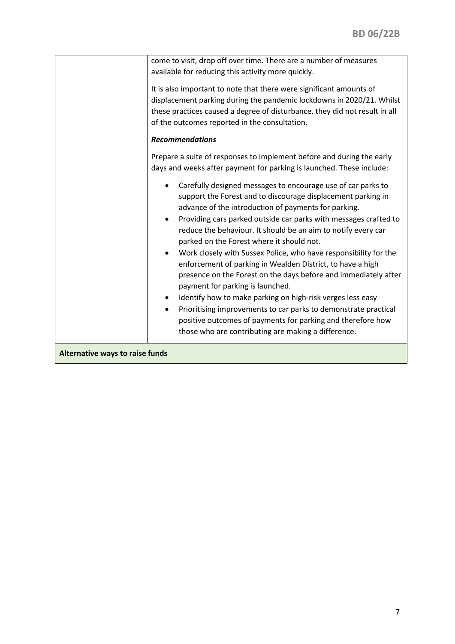|                                 | come to visit, drop off over time. There are a number of measures                                                                                                                                                                                                                                                                                                                                                                                                                                                                                                                                                                                                                                                                                                                                                                                                      |
|---------------------------------|------------------------------------------------------------------------------------------------------------------------------------------------------------------------------------------------------------------------------------------------------------------------------------------------------------------------------------------------------------------------------------------------------------------------------------------------------------------------------------------------------------------------------------------------------------------------------------------------------------------------------------------------------------------------------------------------------------------------------------------------------------------------------------------------------------------------------------------------------------------------|
|                                 | available for reducing this activity more quickly.                                                                                                                                                                                                                                                                                                                                                                                                                                                                                                                                                                                                                                                                                                                                                                                                                     |
|                                 | It is also important to note that there were significant amounts of                                                                                                                                                                                                                                                                                                                                                                                                                                                                                                                                                                                                                                                                                                                                                                                                    |
|                                 | displacement parking during the pandemic lockdowns in 2020/21. Whilst<br>these practices caused a degree of disturbance, they did not result in all                                                                                                                                                                                                                                                                                                                                                                                                                                                                                                                                                                                                                                                                                                                    |
|                                 | of the outcomes reported in the consultation.                                                                                                                                                                                                                                                                                                                                                                                                                                                                                                                                                                                                                                                                                                                                                                                                                          |
|                                 | <b>Recommendations</b>                                                                                                                                                                                                                                                                                                                                                                                                                                                                                                                                                                                                                                                                                                                                                                                                                                                 |
|                                 | Prepare a suite of responses to implement before and during the early<br>days and weeks after payment for parking is launched. These include:                                                                                                                                                                                                                                                                                                                                                                                                                                                                                                                                                                                                                                                                                                                          |
|                                 | Carefully designed messages to encourage use of car parks to<br>support the Forest and to discourage displacement parking in<br>advance of the introduction of payments for parking.<br>Providing cars parked outside car parks with messages crafted to<br>reduce the behaviour. It should be an aim to notify every car<br>parked on the Forest where it should not.<br>Work closely with Sussex Police, who have responsibility for the<br>enforcement of parking in Wealden District, to have a high<br>presence on the Forest on the days before and immediately after<br>payment for parking is launched.<br>Identify how to make parking on high-risk verges less easy<br>Prioritising improvements to car parks to demonstrate practical<br>positive outcomes of payments for parking and therefore how<br>those who are contributing are making a difference. |
| Alternative ways to raise funds |                                                                                                                                                                                                                                                                                                                                                                                                                                                                                                                                                                                                                                                                                                                                                                                                                                                                        |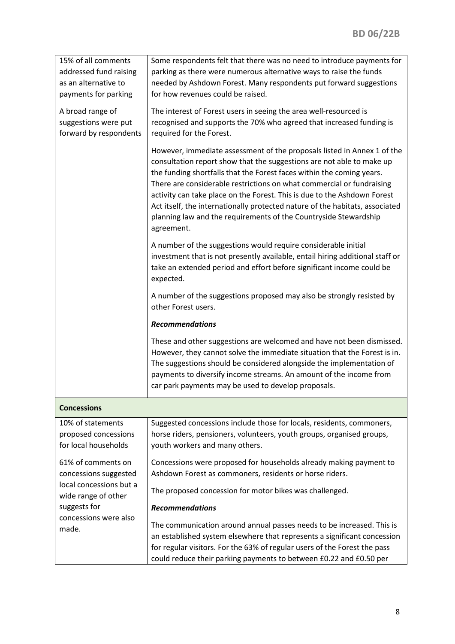| 15% of all comments                            | Some respondents felt that there was no need to introduce payments for                                                                                                                                                                                                                                                                                                                                                                                                                                                                           |
|------------------------------------------------|--------------------------------------------------------------------------------------------------------------------------------------------------------------------------------------------------------------------------------------------------------------------------------------------------------------------------------------------------------------------------------------------------------------------------------------------------------------------------------------------------------------------------------------------------|
| addressed fund raising                         | parking as there were numerous alternative ways to raise the funds                                                                                                                                                                                                                                                                                                                                                                                                                                                                               |
| as an alternative to                           | needed by Ashdown Forest. Many respondents put forward suggestions                                                                                                                                                                                                                                                                                                                                                                                                                                                                               |
| payments for parking                           | for how revenues could be raised.                                                                                                                                                                                                                                                                                                                                                                                                                                                                                                                |
| A broad range of<br>suggestions were put       | The interest of Forest users in seeing the area well-resourced is<br>recognised and supports the 70% who agreed that increased funding is                                                                                                                                                                                                                                                                                                                                                                                                        |
| forward by respondents                         | required for the Forest.                                                                                                                                                                                                                                                                                                                                                                                                                                                                                                                         |
|                                                | However, immediate assessment of the proposals listed in Annex 1 of the<br>consultation report show that the suggestions are not able to make up<br>the funding shortfalls that the Forest faces within the coming years.<br>There are considerable restrictions on what commercial or fundraising<br>activity can take place on the Forest. This is due to the Ashdown Forest<br>Act itself, the internationally protected nature of the habitats, associated<br>planning law and the requirements of the Countryside Stewardship<br>agreement. |
|                                                | A number of the suggestions would require considerable initial<br>investment that is not presently available, entail hiring additional staff or<br>take an extended period and effort before significant income could be<br>expected.                                                                                                                                                                                                                                                                                                            |
|                                                | A number of the suggestions proposed may also be strongly resisted by<br>other Forest users.                                                                                                                                                                                                                                                                                                                                                                                                                                                     |
|                                                | <b>Recommendations</b>                                                                                                                                                                                                                                                                                                                                                                                                                                                                                                                           |
|                                                | These and other suggestions are welcomed and have not been dismissed.<br>However, they cannot solve the immediate situation that the Forest is in.<br>The suggestions should be considered alongside the implementation of<br>payments to diversify income streams. An amount of the income from<br>car park payments may be used to develop proposals.                                                                                                                                                                                          |
| <b>Concessions</b>                             |                                                                                                                                                                                                                                                                                                                                                                                                                                                                                                                                                  |
| 10% of statements                              | Suggested concessions include those for locals, residents, commoners,                                                                                                                                                                                                                                                                                                                                                                                                                                                                            |
| proposed concessions                           | horse riders, pensioners, volunteers, youth groups, organised groups,                                                                                                                                                                                                                                                                                                                                                                                                                                                                            |
| for local households                           | youth workers and many others.                                                                                                                                                                                                                                                                                                                                                                                                                                                                                                                   |
| 61% of comments on                             | Concessions were proposed for households already making payment to                                                                                                                                                                                                                                                                                                                                                                                                                                                                               |
| concessions suggested                          | Ashdown Forest as commoners, residents or horse riders.                                                                                                                                                                                                                                                                                                                                                                                                                                                                                          |
| local concessions but a<br>wide range of other | The proposed concession for motor bikes was challenged.                                                                                                                                                                                                                                                                                                                                                                                                                                                                                          |
| suggests for                                   | <b>Recommendations</b>                                                                                                                                                                                                                                                                                                                                                                                                                                                                                                                           |
| concessions were also<br>made.                 | The communication around annual passes needs to be increased. This is<br>an established system elsewhere that represents a significant concession<br>for regular visitors. For the 63% of regular users of the Forest the pass<br>could reduce their parking payments to between £0.22 and £0.50 per                                                                                                                                                                                                                                             |